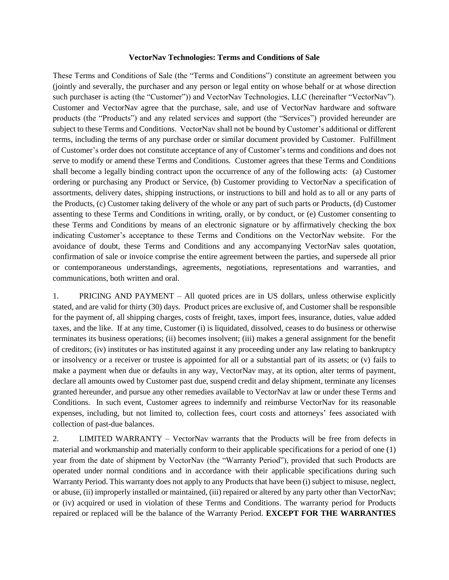## **VectorNav Technologies: Terms and Conditions of Sale**

These Terms and Conditions of Sale (the "Terms and Conditions") constitute an agreement between you (jointly and severally, the purchaser and any person or legal entity on whose behalf or at whose direction such purchaser is acting (the "Customer")) and VectorNav Technologies, LLC (hereinafter "VectorNav"). Customer and VectorNav agree that the purchase, sale, and use of VectorNav hardware and software products (the "Products") and any related services and support (the "Services") provided hereunder are subject to these Terms and Conditions. VectorNav shall not be bound by Customer's additional or different terms, including the terms of any purchase order or similar document provided by Customer. Fulfillment of Customer's order does not constitute acceptance of any of Customer's terms and conditions and does not serve to modify or amend these Terms and Conditions. Customer agrees that these Terms and Conditions shall become a legally binding contract upon the occurrence of any of the following acts: (a) Customer ordering or purchasing any Product or Service, (b) Customer providing to VectorNav a specification of assortments, delivery dates, shipping instructions, or instructions to bill and hold as to all or any parts of the Products, (c) Customer taking delivery of the whole or any part of such parts or Products, (d) Customer assenting to these Terms and Conditions in writing, orally, or by conduct, or (e) Customer consenting to these Terms and Conditions by means of an electronic signature or by affirmatively checking the box indicating Customer's acceptance to these Terms and Conditions on the VectorNav website. For the avoidance of doubt, these Terms and Conditions and any accompanying VectorNav sales quotation, confirmation of sale or invoice comprise the entire agreement between the parties, and supersede all prior or contemporaneous understandings, agreements, negotiations, representations and warranties, and communications, both written and oral.

1. PRICING AND PAYMENT – All quoted prices are in US dollars, unless otherwise explicitly stated, and are valid for thirty (30) days. Product prices are exclusive of, and Customer shall be responsible for the payment of, all shipping charges, costs of freight, taxes, import fees, insurance, duties, value added taxes, and the like. If at any time, Customer (i) is liquidated, dissolved, ceases to do business or otherwise terminates its business operations; (ii) becomes insolvent; (iii) makes a general assignment for the benefit of creditors; (iv) institutes or has instituted against it any proceeding under any law relating to bankruptcy or insolvency or a receiver or trustee is appointed for all or a substantial part of its assets; or (v) fails to make a payment when due or defaults in any way, VectorNav may, at its option, alter terms of payment, declare all amounts owed by Customer past due, suspend credit and delay shipment, terminate any licenses granted hereunder, and pursue any other remedies available to VectorNav at law or under these Terms and Conditions. In such event, Customer agrees to indemnify and reimburse VectorNav for its reasonable expenses, including, but not limited to, collection fees, court costs and attorneys' fees associated with collection of past-due balances.

2. LIMITED WARRANTY – VectorNav warrants that the Products will be free from defects in material and workmanship and materially conform to their applicable specifications for a period of one (1) year from the date of shipment by VectorNav (the "Warranty Period"), provided that such Products are operated under normal conditions and in accordance with their applicable specifications during such Warranty Period. This warranty does not apply to any Products that have been (i) subject to misuse, neglect, or abuse, (ii) improperly installed or maintained, (iii) repaired or altered by any party other than VectorNav; or (iv) acquired or used in violation of these Terms and Conditions. The warranty period for Products repaired or replaced will be the balance of the Warranty Period. **EXCEPT FOR THE WARRANTIES**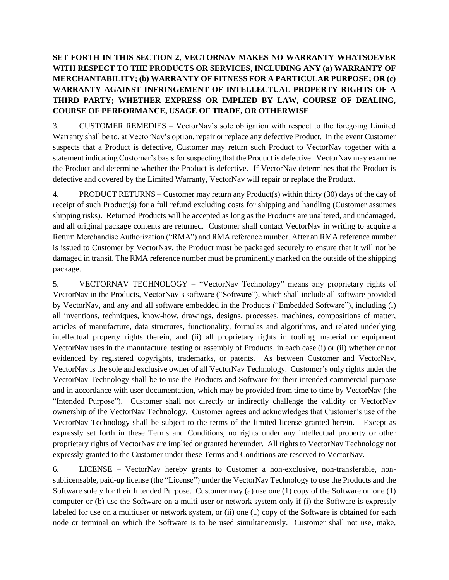## **SET FORTH IN THIS SECTION 2, VECTORNAV MAKES NO WARRANTY WHATSOEVER WITH RESPECT TO THE PRODUCTS OR SERVICES, INCLUDING ANY (a) WARRANTY OF MERCHANTABILITY; (b) WARRANTY OF FITNESS FOR A PARTICULAR PURPOSE; OR (c) WARRANTY AGAINST INFRINGEMENT OF INTELLECTUAL PROPERTY RIGHTS OF A THIRD PARTY; WHETHER EXPRESS OR IMPLIED BY LAW, COURSE OF DEALING, COURSE OF PERFORMANCE, USAGE OF TRADE, OR OTHERWISE**.

3. CUSTOMER REMEDIES – VectorNav's sole obligation with respect to the foregoing Limited Warranty shall be to, at VectorNav's option, repair or replace any defective Product. In the event Customer suspects that a Product is defective, Customer may return such Product to VectorNav together with a statement indicating Customer's basis for suspecting that the Product is defective. VectorNav may examine the Product and determine whether the Product is defective. If VectorNav determines that the Product is defective and covered by the Limited Warranty, VectorNav will repair or replace the Product.

4. PRODUCT RETURNS – Customer may return any Product(s) within thirty (30) days of the day of receipt of such Product(s) for a full refund excluding costs for shipping and handling (Customer assumes shipping risks). Returned Products will be accepted as long as the Products are unaltered, and undamaged, and all original package contents are returned. Customer shall contact VectorNav in writing to acquire a Return Merchandise Authorization ("RMA") and RMA reference number. After an RMA reference number is issued to Customer by VectorNav, the Product must be packaged securely to ensure that it will not be damaged in transit. The RMA reference number must be prominently marked on the outside of the shipping package.

5. VECTORNAV TECHNOLOGY – "VectorNav Technology" means any proprietary rights of VectorNav in the Products, VectorNav's software ("Software"), which shall include all software provided by VectorNav, and any and all software embedded in the Products ("Embedded Software"), including (i) all inventions, techniques, know-how, drawings, designs, processes, machines, compositions of matter, articles of manufacture, data structures, functionality, formulas and algorithms, and related underlying intellectual property rights therein, and (ii) all proprietary rights in tooling, material or equipment VectorNav uses in the manufacture, testing or assembly of Products, in each case (i) or (ii) whether or not evidenced by registered copyrights, trademarks, or patents. As between Customer and VectorNav, VectorNav is the sole and exclusive owner of all VectorNav Technology. Customer's only rights under the VectorNav Technology shall be to use the Products and Software for their intended commercial purpose and in accordance with user documentation, which may be provided from time to time by VectorNav (the "Intended Purpose"). Customer shall not directly or indirectly challenge the validity or VectorNav ownership of the VectorNav Technology. Customer agrees and acknowledges that Customer's use of the VectorNav Technology shall be subject to the terms of the limited license granted herein. Except as expressly set forth in these Terms and Conditions, no rights under any intellectual property or other proprietary rights of VectorNav are implied or granted hereunder. All rights to VectorNav Technology not expressly granted to the Customer under these Terms and Conditions are reserved to VectorNav.

6. LICENSE – VectorNav hereby grants to Customer a non-exclusive, non-transferable, nonsublicensable, paid-up license (the "License") under the VectorNav Technology to use the Products and the Software solely for their Intended Purpose. Customer may (a) use one (1) copy of the Software on one (1) computer or (b) use the Software on a multi-user or network system only if (i) the Software is expressly labeled for use on a multiuser or network system, or (ii) one (1) copy of the Software is obtained for each node or terminal on which the Software is to be used simultaneously. Customer shall not use, make,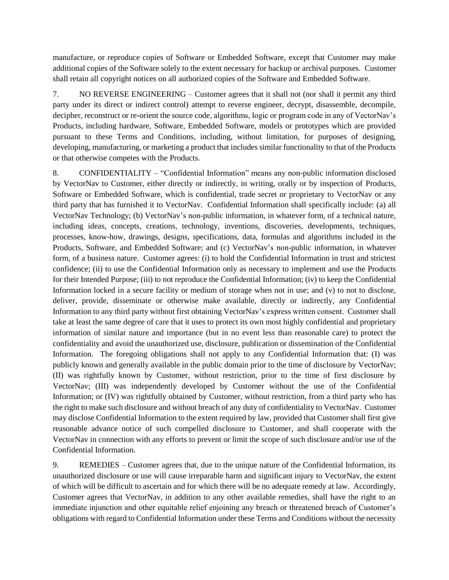manufacture, or reproduce copies of Software or Embedded Software, except that Customer may make additional copies of the Software solely to the extent necessary for backup or archival purposes. Customer shall retain all copyright notices on all authorized copies of the Software and Embedded Software.

7. NO REVERSE ENGINEERING – Customer agrees that it shall not (nor shall it permit any third party under its direct or indirect control) attempt to reverse engineer, decrypt, disassemble, decompile, decipher, reconstruct or re-orient the source code, algorithms, logic or program code in any of VectorNav's Products, including hardware, Software, Embedded Software, models or prototypes which are provided pursuant to these Terms and Conditions, including, without limitation, for purposes of designing, developing, manufacturing, or marketing a product that includes similar functionality to that of the Products or that otherwise competes with the Products.

8. CONFIDENTIALITY – "Confidential Information" means any non-public information disclosed by VectorNav to Customer, either directly or indirectly, in writing, orally or by inspection of Products, Software or Embedded Software, which is confidential, trade secret or proprietary to VectorNav or any third party that has furnished it to VectorNav. Confidential Information shall specifically include: (a) all VectorNav Technology; (b) VectorNav's non-public information, in whatever form, of a technical nature, including ideas, concepts, creations, technology, inventions, discoveries, developments, techniques, processes, know-how, drawings, designs, specifications, data, formulas and algorithms included in the Products, Software, and Embedded Software; and (c) VectorNav's non-public information, in whatever form, of a business nature. Customer agrees: (i) to hold the Confidential Information in trust and strictest confidence; (ii) to use the Confidential Information only as necessary to implement and use the Products for their Intended Purpose; (iii) to not reproduce the Confidential Information; (iv) to keep the Confidential Information locked in a secure facility or medium of storage when not in use; and (v) to not to disclose, deliver, provide, disseminate or otherwise make available, directly or indirectly, any Confidential Information to any third party without first obtaining VectorNav's express written consent. Customer shall take at least the same degree of care that it uses to protect its own most highly confidential and proprietary information of similar nature and importance (but in no event less than reasonable care) to protect the confidentiality and avoid the unauthorized use, disclosure, publication or dissemination of the Confidential Information. The foregoing obligations shall not apply to any Confidential Information that: (I) was publicly known and generally available in the public domain prior to the time of disclosure by VectorNav; (II) was rightfully known by Customer, without restriction, prior to the time of first disclosure by VectorNav; (III) was independently developed by Customer without the use of the Confidential Information; or (IV) was rightfully obtained by Customer, without restriction, from a third party who has the right to make such disclosure and without breach of any duty of confidentiality to VectorNav. Customer may disclose Confidential Information to the extent required by law, provided that Customer shall first give reasonable advance notice of such compelled disclosure to Customer, and shall cooperate with the VectorNav in connection with any efforts to prevent or limit the scope of such disclosure and/or use of the Confidential Information.

9. REMEDIES – Customer agrees that, due to the unique nature of the Confidential Information, its unauthorized disclosure or use will cause irreparable harm and significant injury to VectorNav, the extent of which will be difficult to ascertain and for which there will be no adequate remedy at law. Accordingly, Customer agrees that VectorNav, in addition to any other available remedies, shall have the right to an immediate injunction and other equitable relief enjoining any breach or threatened breach of Customer's obligations with regard to Confidential Information under these Terms and Conditions without the necessity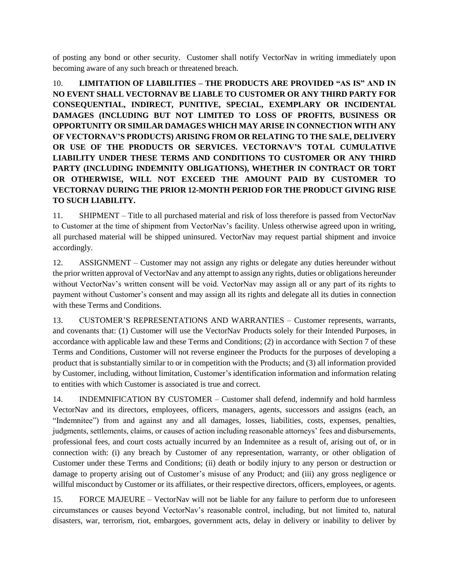of posting any bond or other security. Customer shall notify VectorNav in writing immediately upon becoming aware of any such breach or threatened breach.

10. **LIMITATION OF LIABILITIES – THE PRODUCTS ARE PROVIDED "AS IS" AND IN NO EVENT SHALL VECTORNAV BE LIABLE TO CUSTOMER OR ANY THIRD PARTY FOR CONSEQUENTIAL, INDIRECT, PUNITIVE, SPECIAL, EXEMPLARY OR INCIDENTAL DAMAGES (INCLUDING BUT NOT LIMITED TO LOSS OF PROFITS, BUSINESS OR OPPORTUNITY OR SIMILAR DAMAGES WHICH MAY ARISE IN CONNECTION WITH ANY OF VECTORNAV'S PRODUCTS) ARISING FROM OR RELATING TO THE SALE, DELIVERY OR USE OF THE PRODUCTS OR SERVICES. VECTORNAV'S TOTAL CUMULATIVE LIABILITY UNDER THESE TERMS AND CONDITIONS TO CUSTOMER OR ANY THIRD PARTY (INCLUDING INDEMNITY OBLIGATIONS), WHETHER IN CONTRACT OR TORT OR OTHERWISE, WILL NOT EXCEED THE AMOUNT PAID BY CUSTOMER TO VECTORNAV DURING THE PRIOR 12-MONTH PERIOD FOR THE PRODUCT GIVING RISE TO SUCH LIABILITY.**

11. SHIPMENT – Title to all purchased material and risk of loss therefore is passed from VectorNav to Customer at the time of shipment from VectorNav's facility. Unless otherwise agreed upon in writing, all purchased material will be shipped uninsured. VectorNav may request partial shipment and invoice accordingly.

12. ASSIGNMENT – Customer may not assign any rights or delegate any duties hereunder without the prior written approval of VectorNav and any attempt to assign any rights, duties or obligations hereunder without VectorNav's written consent will be void. VectorNav may assign all or any part of its rights to payment without Customer's consent and may assign all its rights and delegate all its duties in connection with these Terms and Conditions.

13. CUSTOMER'S REPRESENTATIONS AND WARRANTIES – Customer represents, warrants, and covenants that: (1) Customer will use the VectorNav Products solely for their Intended Purposes, in accordance with applicable law and these Terms and Conditions; (2) in accordance with Section 7 of these Terms and Conditions, Customer will not reverse engineer the Products for the purposes of developing a product that is substantially similar to or in competition with the Products; and (3) all information provided by Customer, including, without limitation, Customer's identification information and information relating to entities with which Customer is associated is true and correct.

14. INDEMNIFICATION BY CUSTOMER – Customer shall defend, indemnify and hold harmless VectorNav and its directors, employees, officers, managers, agents, successors and assigns (each, an "Indemnitee") from and against any and all damages, losses, liabilities, costs, expenses, penalties, judgments, settlements, claims, or causes of action including reasonable attorneys' fees and disbursements, professional fees, and court costs actually incurred by an Indemnitee as a result of, arising out of, or in connection with: (i) any breach by Customer of any representation, warranty, or other obligation of Customer under these Terms and Conditions; (ii) death or bodily injury to any person or destruction or damage to property arising out of Customer's misuse of any Product; and (iii) any gross negligence or willful misconduct by Customer or its affiliates, or their respective directors, officers, employees, or agents.

15. FORCE MAJEURE – VectorNav will not be liable for any failure to perform due to unforeseen circumstances or causes beyond VectorNav's reasonable control, including, but not limited to, natural disasters, war, terrorism, riot, embargoes, government acts, delay in delivery or inability to deliver by